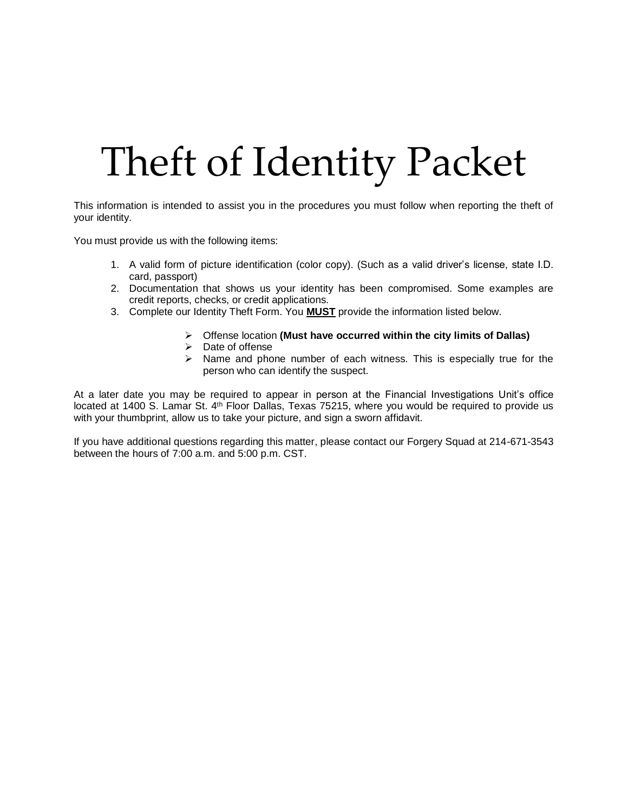## Theft of Identity Packet

This information is intended to assist you in the procedures you must follow when reporting the theft of your identity.

You must provide us with the following items:

- 1. A valid form of picture identification (color copy). (Such as a valid driver's license, state I.D. card, passport)
- 2. Documentation that shows us your identity has been compromised. Some examples are credit reports, checks, or credit applications.
- 3. Complete our Identity Theft Form. You **MUST** provide the information listed below.
	- Offense location **(Must have occurred within the city limits of Dallas)**
	- $\triangleright$  Date of offense
	- $\triangleright$  Name and phone number of each witness. This is especially true for the person who can identify the suspect.

At a later date you may be required to appear in person at the Financial Investigations Unit's office located at 1400 S. Lamar St. 4<sup>th</sup> Floor Dallas, Texas 75215, where you would be required to provide us with your thumbprint, allow us to take your picture, and sign a sworn affidavit.

If you have additional questions regarding this matter, please contact our Forgery Squad at 214-671-3543 between the hours of 7:00 a.m. and 5:00 p.m. CST.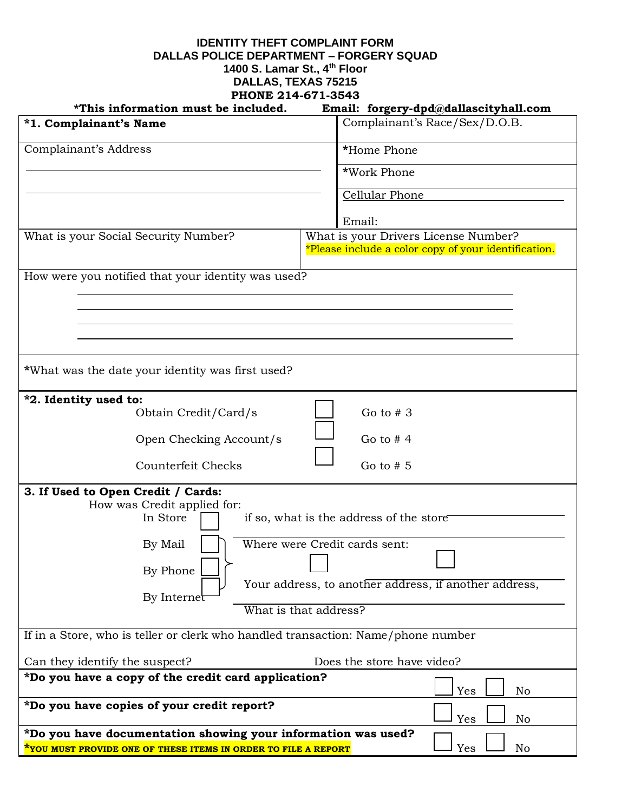## **IDENTITY THEFT COMPLAINT FORM DALLAS POLICE DEPARTMENT – FORGERY SQUAD 1400 S. Lamar St., 4th Floor DALLAS, TEXAS 75215 PHONE 214-671-3543**

| *This information must be included.                                                                                                    | Email: forgery-dpd@dallascityhall.com                                                        |
|----------------------------------------------------------------------------------------------------------------------------------------|----------------------------------------------------------------------------------------------|
| *1. Complainant's Name                                                                                                                 | Complainant's Race/Sex/D.O.B.                                                                |
| Complainant's Address                                                                                                                  | *Home Phone                                                                                  |
|                                                                                                                                        | *Work Phone                                                                                  |
|                                                                                                                                        | Cellular Phone                                                                               |
|                                                                                                                                        | Email:                                                                                       |
| What is your Social Security Number?                                                                                                   | What is your Drivers License Number?<br>*Please include a color copy of your identification. |
| How were you notified that your identity was used?                                                                                     |                                                                                              |
|                                                                                                                                        |                                                                                              |
|                                                                                                                                        |                                                                                              |
|                                                                                                                                        |                                                                                              |
| *What was the date your identity was first used?                                                                                       |                                                                                              |
| *2. Identity used to:                                                                                                                  |                                                                                              |
| Obtain Credit/Card/s                                                                                                                   | Go to $# 3$                                                                                  |
| Open Checking Account/s                                                                                                                | Go to $# 4$                                                                                  |
| Counterfeit Checks                                                                                                                     | Go to $# 5$                                                                                  |
| 3. If Used to Open Credit / Cards:                                                                                                     |                                                                                              |
| How was Credit applied for:                                                                                                            |                                                                                              |
| In Store                                                                                                                               | if so, what is the address of the store                                                      |
| By Mail                                                                                                                                | Where were Credit cards sent:                                                                |
| By Phone                                                                                                                               |                                                                                              |
| By Internet                                                                                                                            | Your address, to another address, if another address,                                        |
|                                                                                                                                        | What is that address?                                                                        |
| If in a Store, who is teller or clerk who handled transaction: Name/phone number                                                       |                                                                                              |
| Can they identify the suspect?                                                                                                         | Does the store have video?                                                                   |
| *Do you have a copy of the credit card application?                                                                                    | Yes<br>No                                                                                    |
| *Do you have copies of your credit report?                                                                                             |                                                                                              |
|                                                                                                                                        | Yes<br>No                                                                                    |
| *Do you have documentation showing your information was used?<br><u>*YOU MUST PROVIDE ONE OF THESE ITEMS IN ORDER TO FILE A REPORT</u> | Yes<br>No                                                                                    |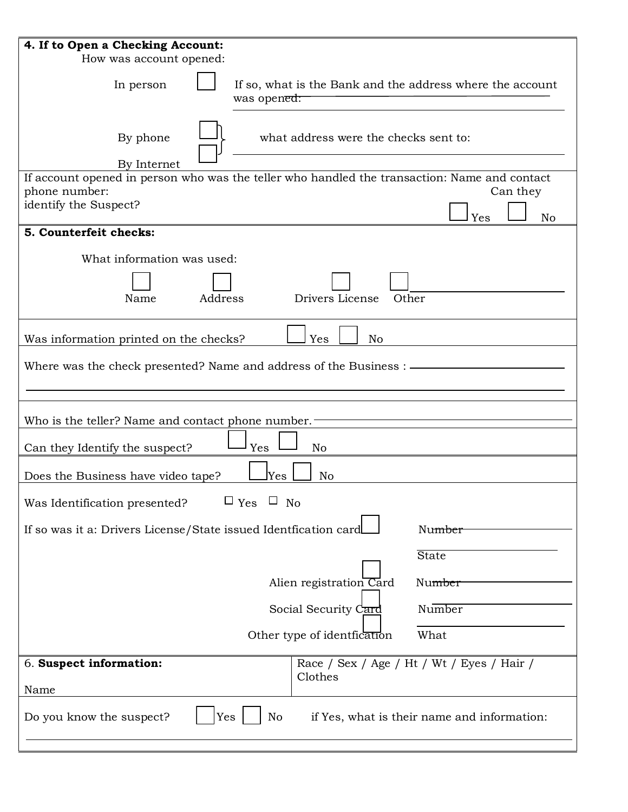| 4. If to Open a Checking Account:                                                            |  |
|----------------------------------------------------------------------------------------------|--|
| How was account opened:                                                                      |  |
| If so, what is the Bank and the address where the account<br>In person<br>was opened:        |  |
| By phone<br>what address were the checks sent to:<br>By Internet                             |  |
| If account opened in person who was the teller who handled the transaction: Name and contact |  |
| phone number:<br>Can they<br>identify the Suspect?                                           |  |
| Yes<br>N <sub>o</sub>                                                                        |  |
| 5. Counterfeit checks:                                                                       |  |
| What information was used:                                                                   |  |
|                                                                                              |  |
| Drivers License<br>Address<br>Other<br>Name                                                  |  |
| Yes<br>N <sub>o</sub><br>Was information printed on the checks?                              |  |
| Where was the check presented? Name and address of the Business : —                          |  |
|                                                                                              |  |
| Who is the teller? Name and contact phone number.                                            |  |
| Yes<br>Can they Identify the suspect?<br>No                                                  |  |
| Yes<br>N <sub>o</sub><br>Does the Business have video tape?                                  |  |
| $\Box$ Yes $\Box$ No<br>Was Identification presented?                                        |  |
| If so was it a: Drivers License/State issued Identification card<br>Number                   |  |
| <b>State</b>                                                                                 |  |
| Alien registration Card<br>Number                                                            |  |
| Number<br>Social Security Card                                                               |  |
| Other type of identfication<br>What                                                          |  |
| 6. Suspect information:<br>Race / Sex / Age / Ht / Wt / Eyes / Hair /<br>Clothes<br>Name     |  |
| Yes<br>No<br>Do you know the suspect?<br>if Yes, what is their name and information:         |  |